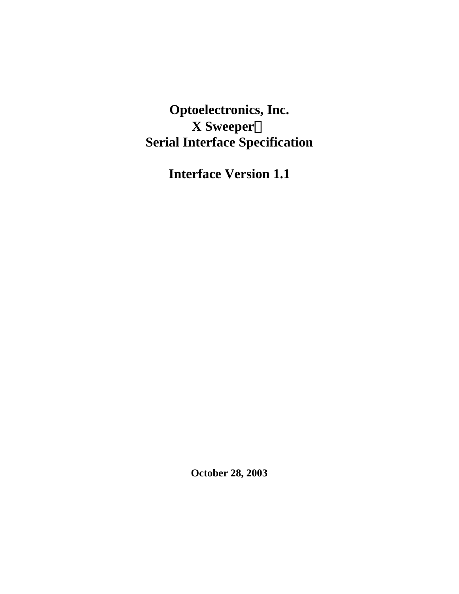**Optoelectronics, Inc. X SweeperÔ Serial Interface Specification**

**Interface Version 1.1**

**October 28, 2003**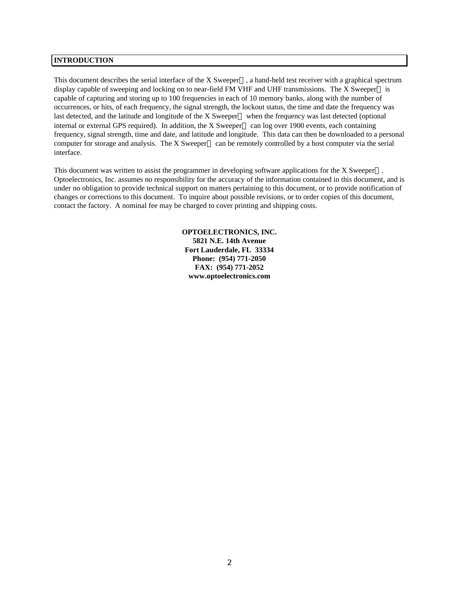### **INTRODUCTION**

This document describes the serial interface of the X Sweeper<sup>TM</sup>, a hand-held test receiver with a graphical spectrum display capable of sweeping and locking on to near-field FM VHF and UHF transmissions. The X Sweeper<sup>TM</sup> is capable of capturing and storing up to 100 frequencies in each of 10 memory banks, along with the number of occurrences, or hits, of each frequency, the signal strength, the lockout status, the time and date the frequency was last detected, and the latitude and longitude of the X Sweeper<sup>TM</sup> when the frequency was last detected (optional internal or external GPS required). In addition, the X Sweeper<sup>TM</sup> can log over 1900 events, each containing frequency, signal strength, time and date, and latitude and longitude. This data can then be downloaded to a personal computer for storage and analysis. The X Sweeper<sup>TM</sup> can be remotely controlled by a host computer via the serial interface.

This document was written to assist the programmer in developing software applications for the  $X$  Sweeper<sup>TM</sup>. Optoelectronics, Inc. assumes no responsibility for the accuracy of the information contained in this document, and is under no obligation to provide technical support on matters pertaining to this document, or to provide notification of changes or corrections to this document. To inquire about possible revisions, or to order copies of this document, contact the factory. A nominal fee may be charged to cover printing and shipping costs.

> **OPTOELECTRONICS, INC. 5821 N.E. 14th Avenue Fort Lauderdale, FL 33334 Phone: (954) 771-2050 FAX: (954) 771-2052 www.optoelectronics.com**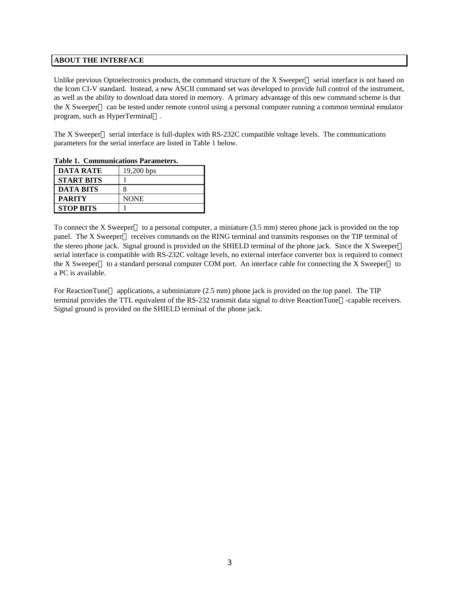### **ABOUT THE INTERFACE**

Unlike previous Optoelectronics products, the command structure of the X Sweeper<sup> $TM$ </sup> serial interface is not based on the Icom CI-V standard. Instead, a new ASCII command set was developed to provide full control of the instrument, as well as the ability to download data stored in memory. A primary advantage of this new command scheme is that the X Sweeper<sup>TM</sup> can be tested under remote control using a personal computer running a common terminal emulator program, such as HyperTerminal™.

The X Sweeper<sup>TM</sup> serial interface is full-duplex with RS-232C compatible voltage levels. The communications parameters for the serial interface are listed in Table 1 below.

| таріс 1. Сонішчисацогія і атапісістя. |              |
|---------------------------------------|--------------|
| <b>DATA RATE</b>                      | $19,200$ bps |
| <b>START BITS</b>                     |              |
| <b>DATA BITS</b>                      | 8            |
| <b>PARITY</b>                         | <b>NONE</b>  |
| <b>STOP BITS</b>                      |              |

**Table 1. Communications Parameters.**

To connect the X Sweeper<sup>TM</sup> to a personal computer, a miniature  $(3.5 \text{ mm})$  stereo phone jack is provided on the top panel. The X Sweeper<sup>TM</sup> receives commands on the RING terminal and transmits responses on the TIP terminal of the stereo phone jack. Signal ground is provided on the SHIELD terminal of the phone jack. Since the X Sweeper<sup>TM</sup> serial interface is compatible with RS-232C voltage levels, no external interface converter box is required to connect the X Sweeper<sup>TM</sup> to a standard personal computer COM port. An interface cable for connecting the X Sweeper<sup>TM</sup> to a PC is available.

For ReactionTune<sup> $TM$ </sup> applications, a subminiature (2.5 mm) phone jack is provided on the top panel. The TIP terminal provides the TTL equivalent of the RS-232 transmit data signal to drive ReactionTune<sup>™</sup>-capable receivers. Signal ground is provided on the SHIELD terminal of the phone jack.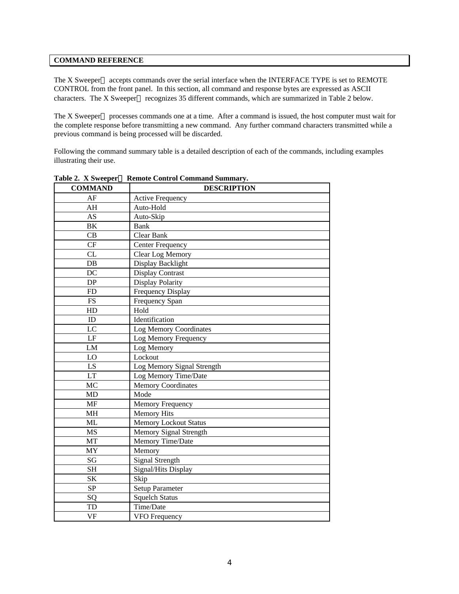### **COMMAND REFERENCE**

The X Sweeper<sup>TM</sup> accepts commands over the serial interface when the INTERFACE TYPE is set to REMOTE CONTROL from the front panel. In this section, all command and response bytes are expressed as ASCII characters. The X Sweeper<sup>™</sup> recognizes 35 different commands, which are summarized in Table 2 below.

The X Sweeper<sup> $TM$ </sup> processes commands one at a time. After a command is issued, the host computer must wait for the complete response before transmitting a new command. Any further command characters transmitted while a previous command is being processed will be discarded.

Following the command summary table is a detailed description of each of the commands, including examples illustrating their use.

| <b>COMMAND</b>       | <b>DESCRIPTION</b>           |
|----------------------|------------------------------|
| AF                   | <b>Active Frequency</b>      |
| AH                   | Auto-Hold                    |
| <b>AS</b>            | Auto-Skip                    |
| <b>BK</b>            | Bank                         |
| CB                   | Clear Bank                   |
| CF                   | <b>Center Frequency</b>      |
| CL                   | Clear Log Memory             |
| $DB$                 | Display Backlight            |
| DC                   | <b>Display Contrast</b>      |
| $DP$                 | Display Polarity             |
| FD                   | Frequency Display            |
| $\mathop{\text{FS}}$ | Frequency Span               |
| HD                   | Hold                         |
| ID                   | Identification               |
| LC                   | Log Memory Coordinates       |
| LF                   | Log Memory Frequency         |
| LM                   | Log Memory                   |
| LO                   | Lockout                      |
| LS                   | Log Memory Signal Strength   |
| <b>LT</b>            | Log Memory Time/Date         |
| MC                   | <b>Memory Coordinates</b>    |
| MD                   | Mode                         |
| MF                   | Memory Frequency             |
| <b>MH</b>            | <b>Memory Hits</b>           |
| ML                   | <b>Memory Lockout Status</b> |
| <b>MS</b>            | Memory Signal Strength       |
| MT                   | Memory Time/Date             |
| MY                   | Memory                       |
| SG                   | <b>Signal Strength</b>       |
| <b>SH</b>            | Signal/Hits Display          |
| <b>SK</b>            | Skip                         |
| ${\bf SP}$           | Setup Parameter              |
| SQ                   | <b>Squelch Status</b>        |
| TD                   | Time/Date                    |
| <b>VF</b>            | VFO Frequency                |

**Table 2. X SweeperÔ Remote Control Command Summary.**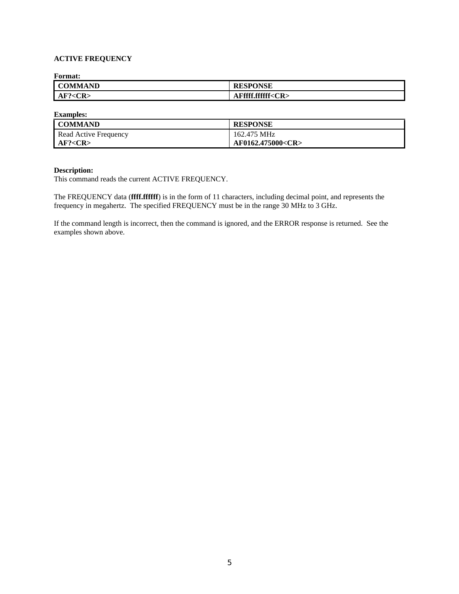# **ACTIVE FREQUENCY**

**Format:**

| <b>COMMAND</b> | <b>RESPONSE</b>         |
|----------------|-------------------------|
| AF? < CR       | AFffff.ffffff <cr></cr> |

**Examples:**

| <b>COMMAND</b>        | <b>RESPONSE</b>         |
|-----------------------|-------------------------|
| Read Active Frequency | 162.475 MHz             |
| AF? < CR              | AF0162.475000 <cr></cr> |

### **Description:**

This command reads the current ACTIVE FREQUENCY.

The FREQUENCY data (**ffff.ffffff**) is in the form of 11 characters, including decimal point, and represents the frequency in megahertz. The specified FREQUENCY must be in the range 30 MHz to 3 GHz.

If the command length is incorrect, then the command is ignored, and the ERROR response is returned. See the examples shown above.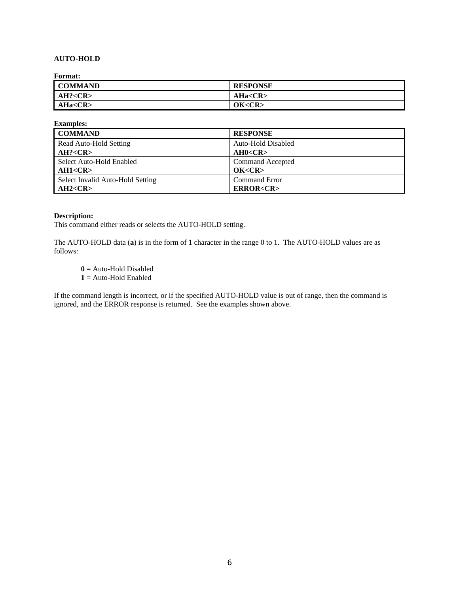# **AUTO-HOLD**

**Format:**

| --------       |                 |
|----------------|-----------------|
| <b>COMMAND</b> | <b>RESPONSE</b> |
| AH? < CR       | AHa < CR        |
| AHa < CR       | OK < CR         |

| <b>Examples:</b>                 |                       |
|----------------------------------|-----------------------|
| <b>COMMAND</b>                   | <b>RESPONSE</b>       |
| Read Auto-Hold Setting           | Auto-Hold Disabled    |
| AH? < CR                         | AH0 < CR              |
| Select Auto-Hold Enabled         | Command Accepted      |
| AH1 < CR                         | OK < CR               |
| Select Invalid Auto-Hold Setting | <b>Command Error</b>  |
| AH2 < CR                         | <b>ERROR<cr></cr></b> |

#### **Description:**

This command either reads or selects the AUTO-HOLD setting.

The AUTO-HOLD data (**a**) is in the form of 1 character in the range 0 to 1. The AUTO-HOLD values are as follows:

**0** = Auto-Hold Disabled

**1** = Auto-Hold Enabled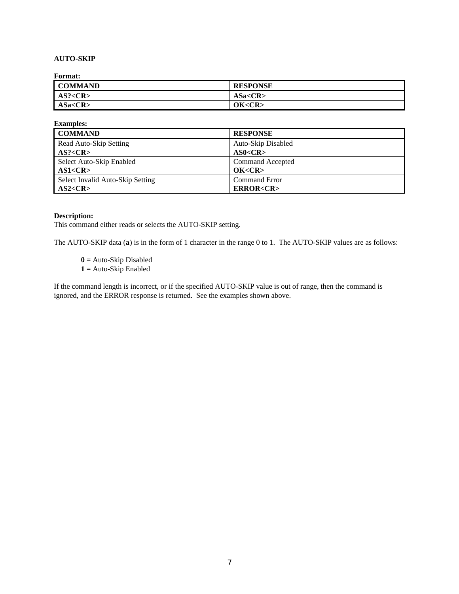# **AUTO-SKIP**

**Format:**

| _ _ _ _ _ _ _ _ _ _ |                 |
|---------------------|-----------------|
| <b>COMMAND</b>      | <b>RESPONSE</b> |
| AS? < CR            | ASa < CR        |
| ASa < CR            | OK < CR         |

| <b>Examples:</b>                 |                       |
|----------------------------------|-----------------------|
| <b>COMMAND</b>                   | <b>RESPONSE</b>       |
| Read Auto-Skip Setting           | Auto-Skip Disabled    |
| AS? < CR                         | AS0 < CR              |
| Select Auto-Skip Enabled         | Command Accepted      |
| AS1 < CR                         | OK < CR               |
| Select Invalid Auto-Skip Setting | <b>Command Error</b>  |
| AS2 < CR                         | <b>ERROR<cr></cr></b> |

### **Description:**

This command either reads or selects the AUTO-SKIP setting.

The AUTO-SKIP data (**a**) is in the form of 1 character in the range 0 to 1. The AUTO-SKIP values are as follows:

**0** = Auto-Skip Disabled **1** = Auto-Skip Enabled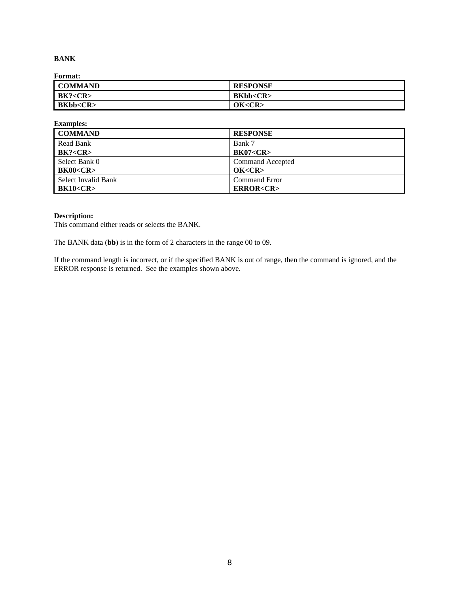# **BANK**

**Format:**

| - - - - - - - - - |                      |
|-------------------|----------------------|
| <b>COMMAND</b>    | <b>RESPONSE</b>      |
| BK? < CR          | <b>BKbb<cr></cr></b> |
| BKbb < CR         | OK < CR              |

| <b>Examples:</b>     |                       |
|----------------------|-----------------------|
| <b>COMMAND</b>       | <b>RESPONSE</b>       |
| Read Bank            | Bank 7                |
| BK? < CR             | <b>BK07<cr></cr></b>  |
| Select Bank 0        | Command Accepted      |
| <b>BK00<cr></cr></b> | OK < CR               |
| Select Invalid Bank  | <b>Command Error</b>  |
| <b>BK10<cr></cr></b> | <b>ERROR<cr></cr></b> |

# **Description:**

This command either reads or selects the BANK.

The BANK data (**bb**) is in the form of 2 characters in the range 00 to 09.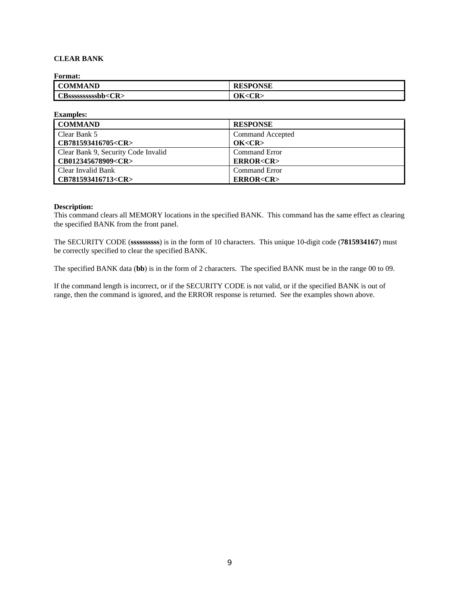# **CLEAR BANK**

**Format:**

| <b>COMMAND</b>            | <b>RESPONSE</b> |
|---------------------------|-----------------|
| CBsssssssssssbb <cr></cr> | ЭK.<br>$<$ CR:  |

**Examples:**

| <b>COMMAND</b>                      | <b>RESPONSE</b>         |
|-------------------------------------|-------------------------|
| Clear Bank 5                        | <b>Command Accepted</b> |
| CB781593416705 <cr></cr>            | OK < CR                 |
| Clear Bank 9, Security Code Invalid | <b>Command Error</b>    |
| CB012345678909 <cr></cr>            | <b>ERROR<cr></cr></b>   |
| Clear Invalid Bank                  | <b>Command Error</b>    |
| CB781593416713 <cr></cr>            | <b>ERROR<cr></cr></b>   |

#### **Description:**

This command clears all MEMORY locations in the specified BANK. This command has the same effect as clearing the specified BANK from the front panel.

The SECURITY CODE (**ssssssssss**) is in the form of 10 characters. This unique 10-digit code (**7815934167**) must be correctly specified to clear the specified BANK.

The specified BANK data (**bb**) is in the form of 2 characters. The specified BANK must be in the range 00 to 09.

If the command length is incorrect, or if the SECURITY CODE is not valid, or if the specified BANK is out of range, then the command is ignored, and the ERROR response is returned. See the examples shown above.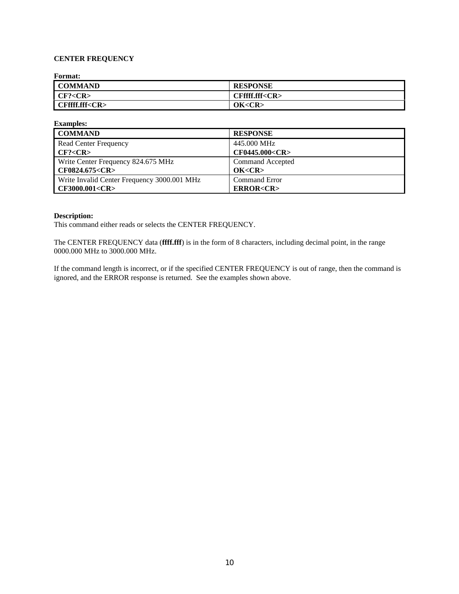## **CENTER FREQUENCY**

**Format:**

| --------             |                      |
|----------------------|----------------------|
| <b>COMMAND</b>       | <b>RESPONSE</b>      |
| CF? < CR             | CFffff.fff <cr></cr> |
| CFffff.fff <cr></cr> | OK < CR              |

| <b>Examples:</b>                            |                       |
|---------------------------------------------|-----------------------|
| <b>COMMAND</b>                              | <b>RESPONSE</b>       |
| <b>Read Center Frequency</b>                | 445,000 MHz           |
| CF? < CR                                    | CF0445.000 <cr></cr>  |
| Write Center Frequency 824.675 MHz          | Command Accepted      |
| CF0824.675 <cr></cr>                        | OK < CR               |
| Write Invalid Center Frequency 3000.001 MHz | <b>Command Error</b>  |
| CF3000.001 <cr></cr>                        | <b>ERROR<cr></cr></b> |

### **Description:**

This command either reads or selects the CENTER FREQUENCY.

The CENTER FREQUENCY data (**ffff.fff**) is in the form of 8 characters, including decimal point, in the range 0000.000 MHz to 3000.000 MHz.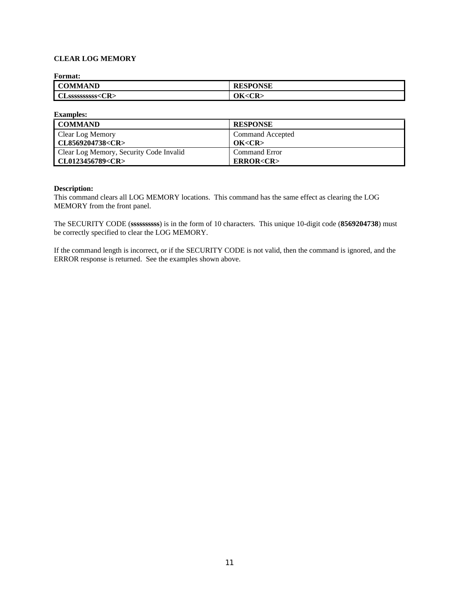## **CLEAR LOG MEMORY**

**Format:**

| <b>COMMAND</b>          | <b>ISPONSE</b><br><b>RESPON</b> |
|-------------------------|---------------------------------|
| CLSSSSSSSSSSS <cr></cr> | OК<br>$<$ CR.                   |

| <b>Examples:</b>                        |                       |
|-----------------------------------------|-----------------------|
| <b>COMMAND</b>                          | <b>RESPONSE</b>       |
| Clear Log Memory                        | Command Accepted      |
| CL8569204738 <cr></cr>                  | OK < CR               |
| Clear Log Memory, Security Code Invalid | <b>Command Error</b>  |
| CL0123456789 <cr></cr>                  | <b>ERROR<cr></cr></b> |

#### **Description:**

This command clears all LOG MEMORY locations. This command has the same effect as clearing the LOG MEMORY from the front panel.

The SECURITY CODE (**ssssssssss**) is in the form of 10 characters. This unique 10-digit code (**8569204738**) must be correctly specified to clear the LOG MEMORY.

If the command length is incorrect, or if the SECURITY CODE is not valid, then the command is ignored, and the ERROR response is returned. See the examples shown above.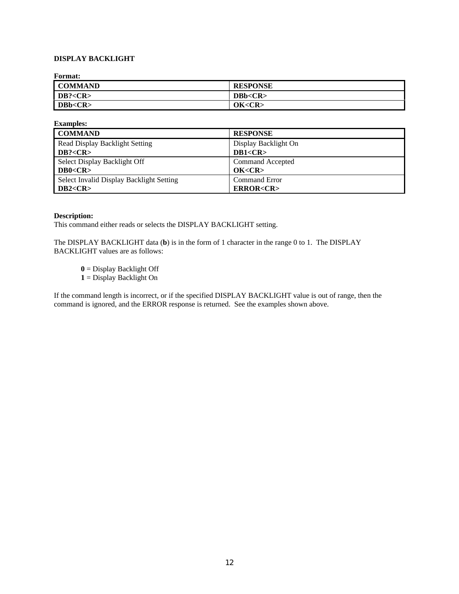## **DISPLAY BACKLIGHT**

**Format:**

| - -------      |                 |
|----------------|-----------------|
| <b>COMMAND</b> | <b>RESPONSE</b> |
| DB? < CR       | DBb < CR        |
| DBb <cr></cr>  | OK <cr></cr>    |

| <b>Examples:</b>                         |                       |
|------------------------------------------|-----------------------|
| <b>COMMAND</b>                           | <b>RESPONSE</b>       |
| Read Display Backlight Setting           | Display Backlight On  |
| DB? < CR                                 | DB1 < CR              |
| Select Display Backlight Off             | Command Accepted      |
| DB0 < CR                                 | OK < CR               |
| Select Invalid Display Backlight Setting | <b>Command Error</b>  |
| DB2 < CR                                 | <b>ERROR<cr></cr></b> |

### **Description:**

This command either reads or selects the DISPLAY BACKLIGHT setting.

The DISPLAY BACKLIGHT data (**b**) is in the form of 1 character in the range 0 to 1. The DISPLAY BACKLIGHT values are as follows:

**0** = Display Backlight Off

**1** = Display Backlight On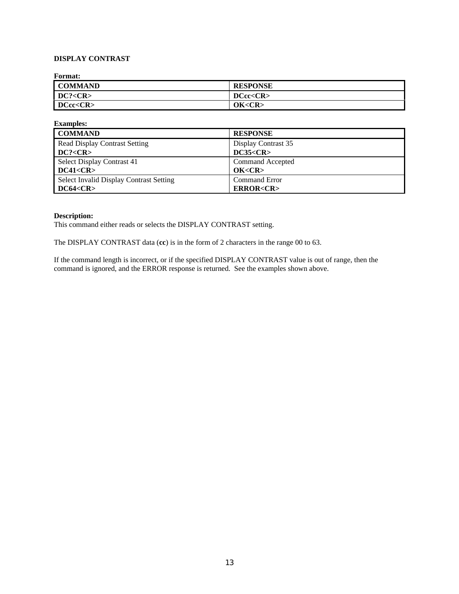# **DISPLAY CONTRAST**

**Format:**

| ---------      |                 |
|----------------|-----------------|
| <b>COMMAND</b> | <b>RESPONSE</b> |
| DC? < CR       | $DCCCR$         |
| DCcc <cr></cr> | OK < CR         |

| <b>Examples:</b>                               |                       |
|------------------------------------------------|-----------------------|
| <b>COMMAND</b>                                 | <b>RESPONSE</b>       |
| <b>Read Display Contrast Setting</b>           | Display Contrast 35   |
| DC? < CR                                       | DC35 < CR             |
| Select Display Contrast 41                     | Command Accepted      |
| DC41 < CR                                      | OK < CR               |
| <b>Select Invalid Display Contrast Setting</b> | <b>Command Error</b>  |
| DC64 < CR                                      | <b>ERROR<cr></cr></b> |

### **Description:**

This command either reads or selects the DISPLAY CONTRAST setting.

The DISPLAY CONTRAST data (**cc**) is in the form of 2 characters in the range 00 to 63.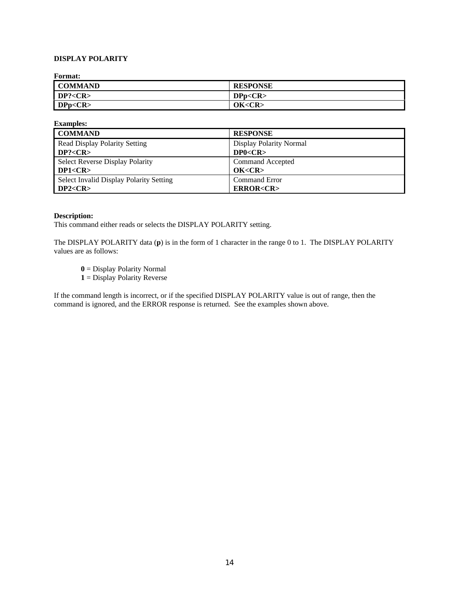# **DISPLAY POLARITY**

**Format:**

| ---------      |                 |
|----------------|-----------------|
| <b>COMMAND</b> | <b>RESPONSE</b> |
| DP? < CR       | DPp < CR        |
| DPp < CR       | OK < CR         |

| <b>Examples:</b>                        |                         |
|-----------------------------------------|-------------------------|
| <b>COMMAND</b>                          | <b>RESPONSE</b>         |
| Read Display Polarity Setting           | Display Polarity Normal |
| DP? < CR                                | DP0 < CR                |
| Select Reverse Display Polarity         | Command Accepted        |
| DP1 < CR                                | OK < CR                 |
| Select Invalid Display Polarity Setting | <b>Command Error</b>    |
| DP2 < CR                                | <b>ERROR<cr></cr></b>   |

#### **Description:**

This command either reads or selects the DISPLAY POLARITY setting.

The DISPLAY POLARITY data (**p**) is in the form of 1 character in the range 0 to 1. The DISPLAY POLARITY values are as follows:

**0** = Display Polarity Normal

**1** = Display Polarity Reverse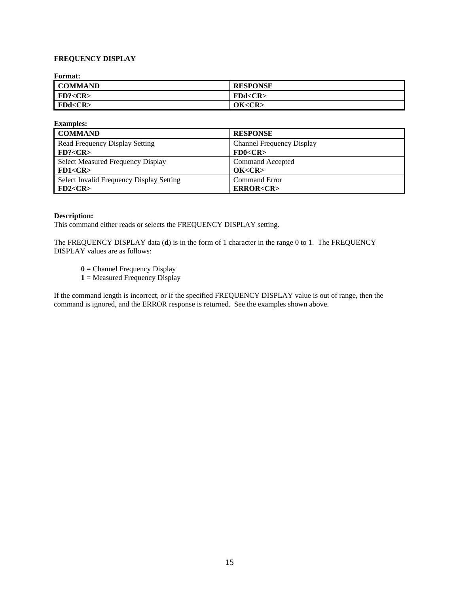# **FREQUENCY DISPLAY**

**Format:**

| - - - - - - - - - - |                 |
|---------------------|-----------------|
| <b>COMMAND</b>      | <b>RESPONSE</b> |
| FD? <cr></cr>       | FDd < CR        |
| FDd < CR            | OK < CR         |

| <b>Examples:</b>                         |                           |
|------------------------------------------|---------------------------|
| <b>COMMAND</b>                           | <b>RESPONSE</b>           |
| Read Frequency Display Setting           | Channel Frequency Display |
| FD? < CR                                 | FD0 < CR                  |
| Select Measured Frequency Display        | Command Accepted          |
| FD1 < CR                                 | OK < CR                   |
| Select Invalid Frequency Display Setting | <b>Command Error</b>      |
| FD2 < CR                                 | <b>ERROR<cr></cr></b>     |

### **Description:**

This command either reads or selects the FREQUENCY DISPLAY setting.

The FREQUENCY DISPLAY data (**d**) is in the form of 1 character in the range 0 to 1. The FREQUENCY DISPLAY values are as follows:

- **0** = Channel Frequency Display
- **1** = Measured Frequency Display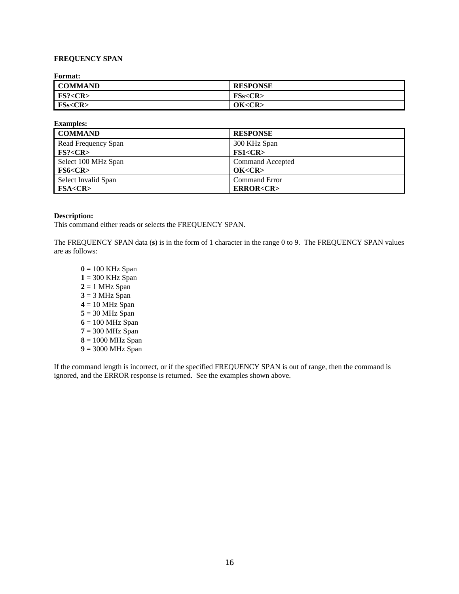# **FREQUENCY SPAN**

**Format:**

| <b>COMMAND</b>      | <b>RESPONSE</b> |
|---------------------|-----------------|
| FS? < CR            | FSS < CR        |
| <b>FSs<cr></cr></b> | OK <cr></cr>    |

| <b>Examples:</b>                     |                       |
|--------------------------------------|-----------------------|
| <b>COMMAND</b>                       | <b>RESPONSE</b>       |
| Read Frequency Span                  | 300 KHz Span          |
| FS? < CR                             | FS1 < CR              |
| Select 100 MHz Span                  | Command Accepted      |
| F <sub>S6</sub> <sub><b>CR</b></sub> | OK < CR               |
| Select Invalid Span                  | <b>Command Error</b>  |
| <b>FSA<cr></cr></b>                  | <b>ERROR<cr></cr></b> |

#### **Description:**

This command either reads or selects the FREQUENCY SPAN.

The FREQUENCY SPAN data (**s**) is in the form of 1 character in the range 0 to 9. The FREQUENCY SPAN values are as follows:

 $0 = 100$  KHz Span **1** = 300 KHz Span  $2 = 1$  MHz Span **3** = 3 MHz Span  $4 = 10$  MHz Span **5** = 30 MHz Span  $6 = 100$  MHz Span **7** = 300 MHz Span **8** = 1000 MHz Span **9** = 3000 MHz Span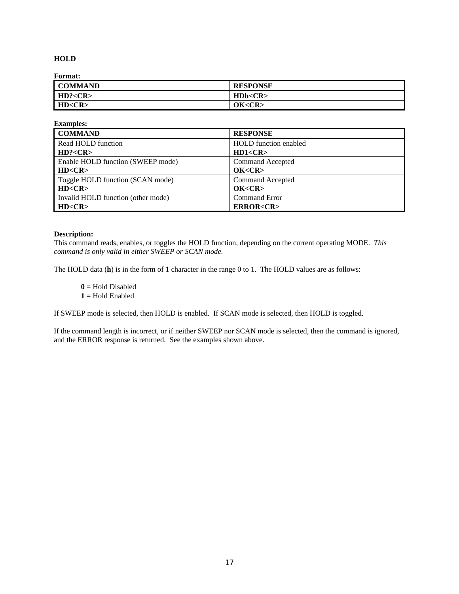## **HOLD**

**Format:**

| --------       |                 |
|----------------|-----------------|
| <b>COMMAND</b> | <b>RESPONSE</b> |
| HD? < CR       | H Dh < CR       |
| HD < CR        | OK < CR         |

| <b>Examples:</b>                   |                              |
|------------------------------------|------------------------------|
| <b>COMMAND</b>                     | <b>RESPONSE</b>              |
| Read HOLD function                 | <b>HOLD</b> function enabled |
| HD? < CR                           | HD1 < CR                     |
| Enable HOLD function (SWEEP mode)  | Command Accepted             |
| HD < CR                            | OK < CR                      |
| Toggle HOLD function (SCAN mode)   | Command Accepted             |
| HD < CR                            | OK < CR                      |
| Invalid HOLD function (other mode) | <b>Command Error</b>         |
| HD < CR                            | <b>ERROR<cr></cr></b>        |

### **Description:**

This command reads, enables, or toggles the HOLD function, depending on the current operating MODE. *This command is only valid in either SWEEP or SCAN mode.*

The HOLD data (**h**) is in the form of 1 character in the range 0 to 1. The HOLD values are as follows:

 $0 =$  Hold Disabled  $1 =$  Hold Enabled

If SWEEP mode is selected, then HOLD is enabled. If SCAN mode is selected, then HOLD is toggled.

If the command length is incorrect, or if neither SWEEP nor SCAN mode is selected, then the command is ignored, and the ERROR response is returned. See the examples shown above.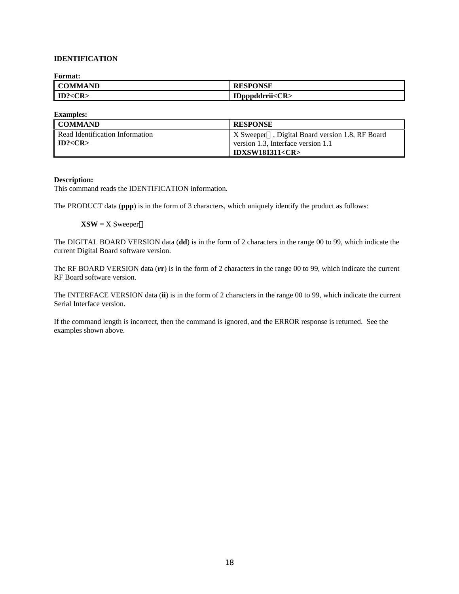## **IDENTIFICATION**

**Format:**

| <b>COMMAND</b>    | <b>RESPONSE</b>     |
|-------------------|---------------------|
| $ $ ID? <cr></cr> | IDpppddrrii< $CR$ > |

**Examples:**

| I COMMAND                       | <b>RESPONSE</b>                                                      |
|---------------------------------|----------------------------------------------------------------------|
| Read Identification Information | $\mid$ X Sweeper <sup>TM</sup> , Digital Board version 1.8, RF Board |
| $\blacksquare$ ID? <cr></cr>    | version 1.3, Interface version 1.1                                   |
|                                 | <b>IDXSW181311<cr></cr></b>                                          |

#### **Description:**

This command reads the IDENTIFICATION information.

The PRODUCT data (**ppp**) is in the form of 3 characters, which uniquely identify the product as follows:

 $\mathbf{XSW} = \mathbf{X}$  Sweeper<sup>TM</sup>

The DIGITAL BOARD VERSION data (**dd**) is in the form of 2 characters in the range 00 to 99, which indicate the current Digital Board software version.

The RF BOARD VERSION data (**rr**) is in the form of 2 characters in the range 00 to 99, which indicate the current RF Board software version.

The INTERFACE VERSION data (**ii**) is in the form of 2 characters in the range 00 to 99, which indicate the current Serial Interface version.

If the command length is incorrect, then the command is ignored, and the ERROR response is returned. See the examples shown above.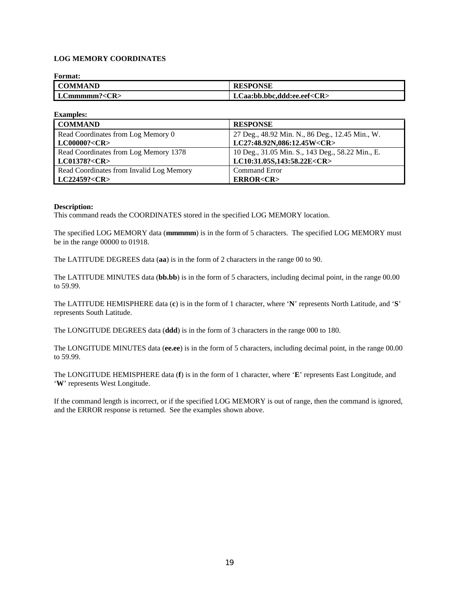# **LOG MEMORY COORDINATES**

| <b>Format:</b>     |                                  |
|--------------------|----------------------------------|
| <b>COMMAND</b>     | <b>RESPONSE</b>                  |
| LCmmmmm? <cr></cr> | LCaa:bb.bbc.ddd:ee.eef <cr></cr> |

| <b>Examples:</b>                         |                                                  |
|------------------------------------------|--------------------------------------------------|
| <b>COMMAND</b>                           | <b>RESPONSE</b>                                  |
| Read Coordinates from Log Memory 0       | 27 Deg., 48.92 Min. N., 86 Deg., 12.45 Min., W.  |
| LC00000? <cr></cr>                       | LC27:48.92N,086:12.45W <cr></cr>                 |
| Read Coordinates from Log Memory 1378    | 10 Deg., 31.05 Min. S., 143 Deg., 58.22 Min., E. |
| LC01378? <cr></cr>                       | LC10:31.05S,143:58.22E <cr></cr>                 |
| Read Coordinates from Invalid Log Memory | <b>Command Error</b>                             |
| LC22459? <cr></cr>                       | <b>ERROR<cr></cr></b>                            |

#### **Description:**

This command reads the COORDINATES stored in the specified LOG MEMORY location.

The specified LOG MEMORY data (**mmmmm**) is in the form of 5 characters. The specified LOG MEMORY must be in the range 00000 to 01918.

The LATITUDE DEGREES data (**aa**) is in the form of 2 characters in the range 00 to 90.

The LATITUDE MINUTES data (**bb.bb**) is in the form of 5 characters, including decimal point, in the range 00.00 to 59.99.

The LATITUDE HEMISPHERE data (**c**) is in the form of 1 character, where '**N**' represents North Latitude, and '**S**' represents South Latitude.

The LONGITUDE DEGREES data (**ddd**) is in the form of 3 characters in the range 000 to 180.

The LONGITUDE MINUTES data (**ee.ee**) is in the form of 5 characters, including decimal point, in the range 00.00 to 59.99.

The LONGITUDE HEMISPHERE data (**f**) is in the form of 1 character, where '**E**' represents East Longitude, and '**W**' represents West Longitude.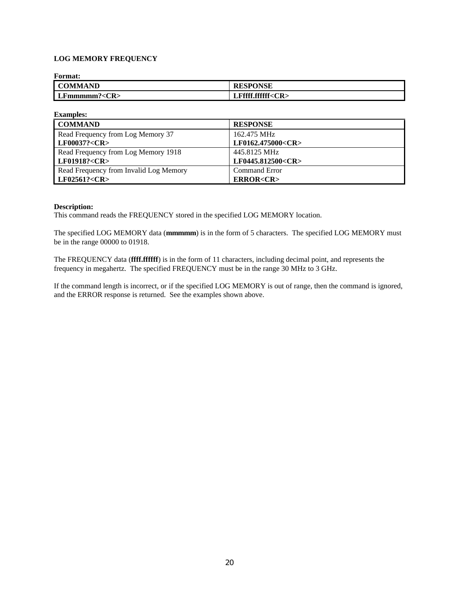# **LOG MEMORY FREQUENCY**

| <b>Format:</b> |                         |
|----------------|-------------------------|
| <b>COMMAND</b> | <b>RESPONSE</b>         |
| LFmmmm? < CR   | LFffff.ffffff <cr></cr> |

| <b>Examples:</b>                       |                         |
|----------------------------------------|-------------------------|
| <b>COMMAND</b>                         | <b>RESPONSE</b>         |
| Read Frequency from Log Memory 37      | 162.475 MHz             |
| LF00037? <cr></cr>                     | LF0162.475000 <cr></cr> |
| Read Frequency from Log Memory 1918    | 445.8125 MHz            |
| LF01918? <cr></cr>                     | LF0445.812500 <cr></cr> |
| Read Frequency from Invalid Log Memory | Command Error           |
| LF02561? <cr></cr>                     | <b>ERROR<cr></cr></b>   |

#### **Description:**

This command reads the FREQUENCY stored in the specified LOG MEMORY location.

The specified LOG MEMORY data (**mmmmm**) is in the form of 5 characters. The specified LOG MEMORY must be in the range 00000 to 01918.

The FREQUENCY data (**ffff.ffffff**) is in the form of 11 characters, including decimal point, and represents the frequency in megahertz. The specified FREQUENCY must be in the range 30 MHz to 3 GHz.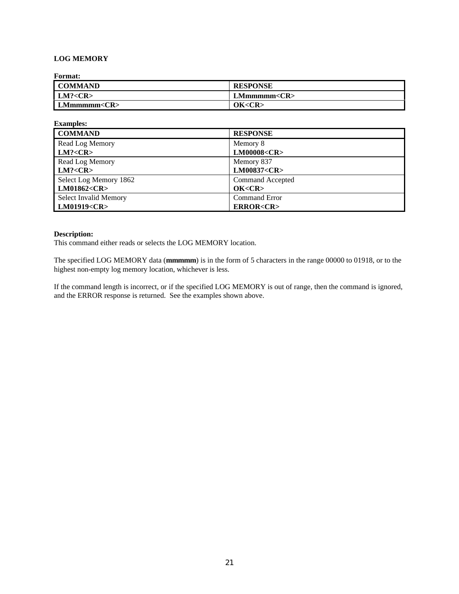# **LOG MEMORY**

**Format:**

| <b>COMMAND</b>     | <b>RESPONSE</b> |
|--------------------|-----------------|
| LM? < CR           | LMmmmm << R     |
| LMmmmm < <b>CR</b> | OK < CR         |

| <b>Examples:</b>             |                         |
|------------------------------|-------------------------|
| <b>COMMAND</b>               | <b>RESPONSE</b>         |
| Read Log Memory              | Memory 8                |
| LM? < CR                     | <b>LM00008<cr></cr></b> |
| Read Log Memory              | Memory 837              |
| LM? < CR                     | LM00837 <cr></cr>       |
| Select Log Memory 1862       | Command Accepted        |
| LM01862 <cr></cr>            | OK < CR                 |
| <b>Select Invalid Memory</b> | <b>Command Error</b>    |
| LM01919 <cr></cr>            | <b>ERROR<cr></cr></b>   |

#### **Description:**

This command either reads or selects the LOG MEMORY location.

The specified LOG MEMORY data (**mmmmm**) is in the form of 5 characters in the range 00000 to 01918, or to the highest non-empty log memory location, whichever is less.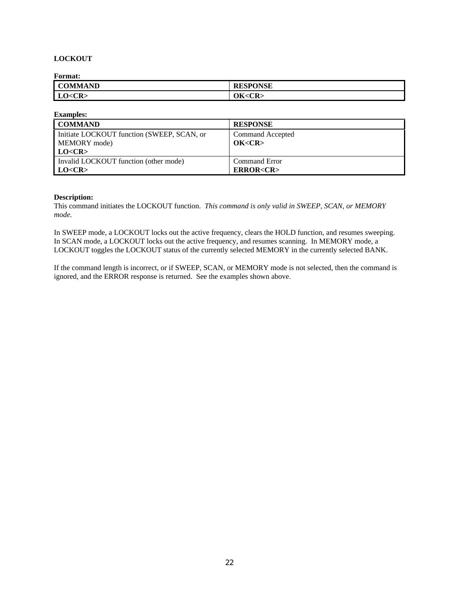# **LOCKOUT**

**Format:**

| ---------      |                                    |
|----------------|------------------------------------|
| <b>COMMAND</b> | <b>RESPONSE</b>                    |
| LO < CR        | ОK·<br>$\mathcal{L}$ D $\sim$<br>w |

| <b>Examples:</b>                           |                       |
|--------------------------------------------|-----------------------|
| <b>COMMAND</b>                             | <b>RESPONSE</b>       |
| Initiate LOCKOUT function (SWEEP, SCAN, or | Command Accepted      |
| MEMORY mode)                               | OK < CR               |
| LO < CR                                    |                       |
| Invalid LOCKOUT function (other mode)      | Command Error         |
| LO < CR                                    | <b>ERROR<cr></cr></b> |

#### **Description:**

This command initiates the LOCKOUT function. *This command is only valid in SWEEP, SCAN, or MEMORY mode.*

In SWEEP mode, a LOCKOUT locks out the active frequency, clears the HOLD function, and resumes sweeping. In SCAN mode, a LOCKOUT locks out the active frequency, and resumes scanning. In MEMORY mode, a LOCKOUT toggles the LOCKOUT status of the currently selected MEMORY in the currently selected BANK.

If the command length is incorrect, or if SWEEP, SCAN, or MEMORY mode is not selected, then the command is ignored, and the ERROR response is returned. See the examples shown above.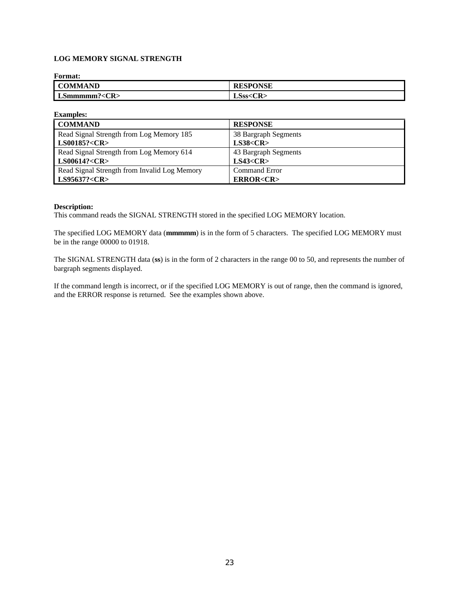# **LOG MEMORY SIGNAL STRENGTH**

# **Format: COMMAND RESPONSE** LSmmmmm?<CR><br> **LSss<CR>**

| <b>Examples:</b>                             |                       |
|----------------------------------------------|-----------------------|
| <b>COMMAND</b>                               | <b>RESPONSE</b>       |
| Read Signal Strength from Log Memory 185     | 38 Bargraph Segments  |
| <b>LS00185?<cr></cr></b>                     | LS38 < CR             |
| Read Signal Strength from Log Memory 614     | 43 Bargraph Segments  |
| LS00614? <cr></cr>                           | LS43 < CR             |
| Read Signal Strength from Invalid Log Memory | <b>Command Error</b>  |
| LS95637? <cr></cr>                           | <b>ERROR<cr></cr></b> |

### **Description:**

This command reads the SIGNAL STRENGTH stored in the specified LOG MEMORY location.

The specified LOG MEMORY data (**mmmmm**) is in the form of 5 characters. The specified LOG MEMORY must be in the range 00000 to 01918.

The SIGNAL STRENGTH data (**ss**) is in the form of 2 characters in the range 00 to 50, and represents the number of bargraph segments displayed.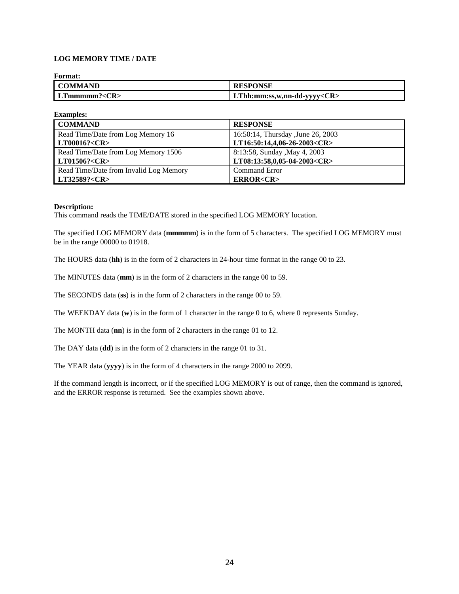# **LOG MEMORY TIME / DATE**

| <b>Format:</b>       |                                   |
|----------------------|-----------------------------------|
| <b>COMMAND</b>       | <b>RESPONSE</b>                   |
| LThmmmm? < <b>CR</b> | LThh:mm:ss,w,nn-dd-yyyy <cr></cr> |

| <b>Examples:</b>                       |                                    |
|----------------------------------------|------------------------------------|
| <b>COMMAND</b>                         | <b>RESPONSE</b>                    |
| Read Time/Date from Log Memory 16      | 16:50:14, Thursday , June 26, 2003 |
| LT00016? <cr></cr>                     | LT16:50:14,4,06-26-2003 <cr></cr>  |
| Read Time/Date from Log Memory 1506    | 8:13:58, Sunday , May 4, 2003      |
| LT01506? <cr></cr>                     | LT08:13:58,0,05-04-2003 <cr></cr>  |
| Read Time/Date from Invalid Log Memory | <b>Command Error</b>               |
| LT32589? <cr></cr>                     | <b>ERROR<cr></cr></b>              |

#### **Description:**

This command reads the TIME/DATE stored in the specified LOG MEMORY location.

The specified LOG MEMORY data (**mmmmm**) is in the form of 5 characters. The specified LOG MEMORY must be in the range 00000 to 01918.

The HOURS data (**hh**) is in the form of 2 characters in 24-hour time format in the range 00 to 23.

The MINUTES data (**mm**) is in the form of 2 characters in the range 00 to 59.

The SECONDS data (**ss**) is in the form of 2 characters in the range 00 to 59.

The WEEKDAY data (**w**) is in the form of 1 character in the range 0 to 6, where 0 represents Sunday.

The MONTH data (**nn**) is in the form of 2 characters in the range 01 to 12.

The DAY data (**dd**) is in the form of 2 characters in the range 01 to 31.

The YEAR data (**yyyy**) is in the form of 4 characters in the range 2000 to 2099.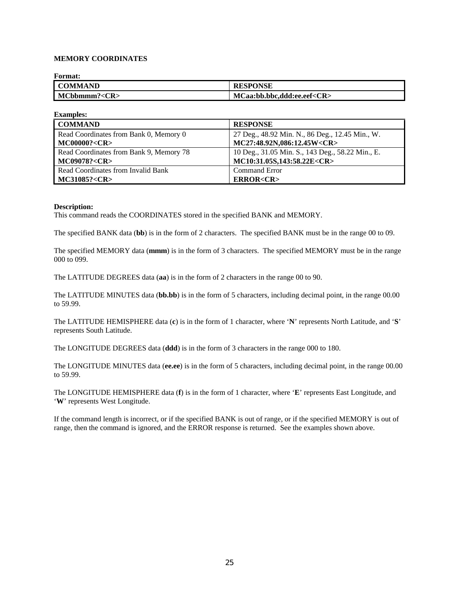### **MEMORY COORDINATES**

| <b>Format:</b>       |                                  |
|----------------------|----------------------------------|
| <b>COMMAND</b>       | <b>RESPONSE</b>                  |
| MCbbmmm? < <b>CR</b> | MCaa:bb.bbc.ddd:ee.eef <cr></cr> |

| <b>Examples:</b>                        |                                                  |
|-----------------------------------------|--------------------------------------------------|
| <b>COMMAND</b>                          | <b>RESPONSE</b>                                  |
| Read Coordinates from Bank 0, Memory 0  | 27 Deg., 48.92 Min. N., 86 Deg., 12.45 Min., W.  |
| <b>MC00000?<cr></cr></b>                | MC27:48.92N,086:12.45W <cr></cr>                 |
| Read Coordinates from Bank 9, Memory 78 | 10 Deg., 31.05 Min. S., 143 Deg., 58.22 Min., E. |
| <b>MC09078?<cr></cr></b>                | MC10:31.05S,143:58.22E <cr></cr>                 |
| Read Coordinates from Invalid Bank      | <b>Command Error</b>                             |
| MC31085? <cr></cr>                      | <b>ERROR<cr></cr></b>                            |

#### **Description:**

This command reads the COORDINATES stored in the specified BANK and MEMORY.

The specified BANK data (**bb**) is in the form of 2 characters. The specified BANK must be in the range 00 to 09.

The specified MEMORY data (**mmm**) is in the form of 3 characters. The specified MEMORY must be in the range 000 to 099.

The LATITUDE DEGREES data (**aa**) is in the form of 2 characters in the range 00 to 90.

The LATITUDE MINUTES data (**bb.bb**) is in the form of 5 characters, including decimal point, in the range 00.00 to 59.99.

The LATITUDE HEMISPHERE data (**c**) is in the form of 1 character, where '**N**' represents North Latitude, and '**S**' represents South Latitude.

The LONGITUDE DEGREES data (**ddd**) is in the form of 3 characters in the range 000 to 180.

The LONGITUDE MINUTES data (**ee.ee**) is in the form of 5 characters, including decimal point, in the range 00.00 to 59.99.

The LONGITUDE HEMISPHERE data (**f**) is in the form of 1 character, where '**E**' represents East Longitude, and '**W**' represents West Longitude.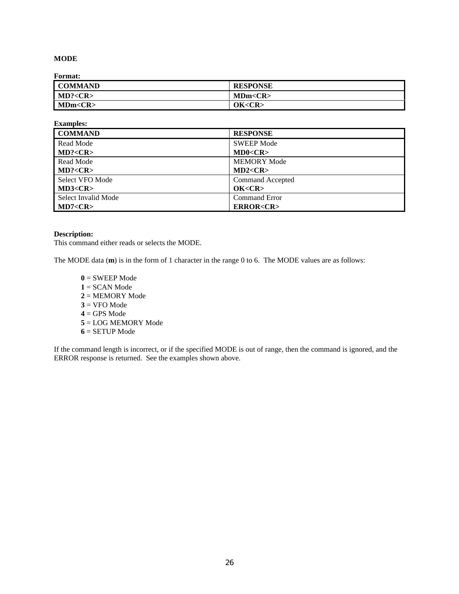## **MODE**

**Format:**

| --------       |                 |
|----------------|-----------------|
| <b>COMMAND</b> | <b>RESPONSE</b> |
| MD? < CR       | MDm < CR        |
| MDm < CR       | OK <cr></cr>    |

| <b>Examples:</b>    |                       |
|---------------------|-----------------------|
| <b>COMMAND</b>      | <b>RESPONSE</b>       |
| Read Mode           | <b>SWEEP Mode</b>     |
| MD? < CR            | MD0 < CR              |
| Read Mode           | <b>MEMORY Mode</b>    |
| MD? < CR            | MD2 < CR              |
| Select VFO Mode     | Command Accepted      |
| MD3 < CR            | OK < CR               |
| Select Invalid Mode | <b>Command Error</b>  |
| MD7 < CR            | <b>ERROR<cr></cr></b> |

### **Description:**

This command either reads or selects the MODE.

The MODE data (**m**) is in the form of 1 character in the range 0 to 6. The MODE values are as follows:

 = SWEEP Mode = SCAN Mode = MEMORY Mode  $3 = VFO Mode$  = GPS Mode = LOG MEMORY Mode = SETUP Mode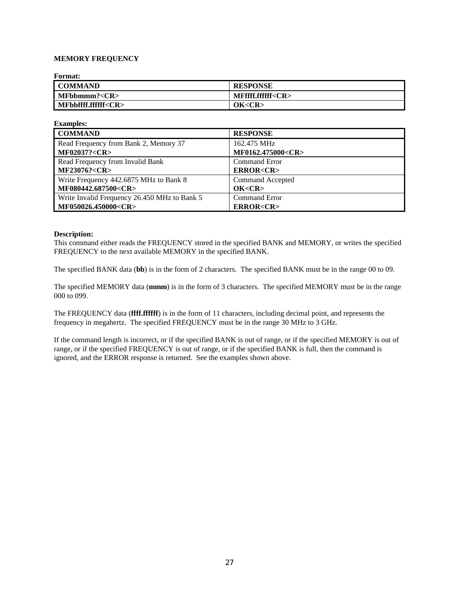### **MEMORY FREQUENCY**

| <b>Format:</b>            |                         |
|---------------------------|-------------------------|
| I COMMAND                 | <b>RESPONSE</b>         |
| IMFbbnmm? < <b>CR</b>     | MFffff.ffffff <cr></cr> |
| MFbbffff.ffffff <cr></cr> | OK < CR                 |

| <b>Examples:</b>                             |                         |
|----------------------------------------------|-------------------------|
| <b>COMMAND</b>                               | <b>RESPONSE</b>         |
| Read Frequency from Bank 2, Memory 37        | 162.475 MHz             |
| <b>MF02037?<cr></cr></b>                     | MF0162.475000 <cr></cr> |
| Read Frequency from Invalid Bank             | Command Error           |
| <b>MF23076?<cr></cr></b>                     | <b>ERROR<cr></cr></b>   |
| Write Frequency 442.6875 MHz to Bank 8       | Command Accepted        |
| MF080442.687500 <cr></cr>                    | OK < CR                 |
| Write Invalid Frequency 26.450 MHz to Bank 5 | <b>Command Error</b>    |
| MF050026.450000 <cr></cr>                    | <b>ERROR<cr></cr></b>   |

#### **Description:**

This command either reads the FREQUENCY stored in the specified BANK and MEMORY, or writes the specified FREQUENCY to the next available MEMORY in the specified BANK.

The specified BANK data (**bb**) is in the form of 2 characters. The specified BANK must be in the range 00 to 09.

The specified MEMORY data (**mmm**) is in the form of 3 characters. The specified MEMORY must be in the range 000 to 099.

The FREQUENCY data (**ffff.ffffff**) is in the form of 11 characters, including decimal point, and represents the frequency in megahertz. The specified FREQUENCY must be in the range 30 MHz to 3 GHz.

If the command length is incorrect, or if the specified BANK is out of range, or if the specified MEMORY is out of range, or if the specified FREQUENCY is out of range, or if the specified BANK is full, then the command is ignored, and the ERROR response is returned. See the examples shown above.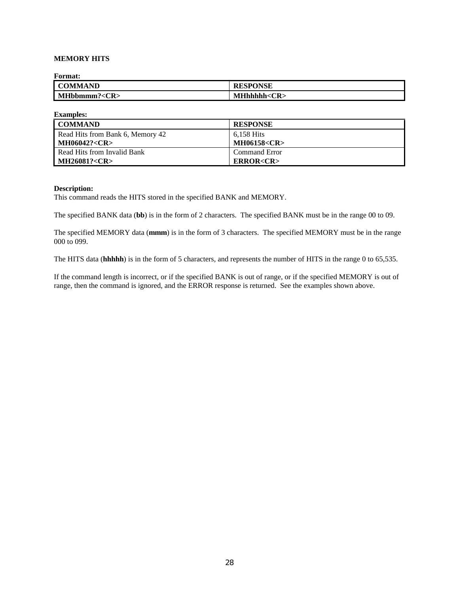### **MEMORY HITS**

**Format:**

| rormat:            |                    |
|--------------------|--------------------|
| <b>COMMAND</b>     | <b>RESPONSE</b>    |
| MHbbmmm? <cr></cr> | $MHhhhh < CR \geq$ |

**Examples: COMMAND RESPONSE** Read Hits from Bank 6, Memory 42 **MH06042?<CR>** 6,158 Hits **MH06158<CR>** Read Hits from Invalid Bank **MH26081?<CR>** Command Error **ERROR<CR>**

#### **Description:**

This command reads the HITS stored in the specified BANK and MEMORY.

The specified BANK data (**bb**) is in the form of 2 characters. The specified BANK must be in the range 00 to 09.

The specified MEMORY data (**mmm**) is in the form of 3 characters. The specified MEMORY must be in the range 000 to 099.

The HITS data (**hhhhh**) is in the form of 5 characters, and represents the number of HITS in the range 0 to 65,535.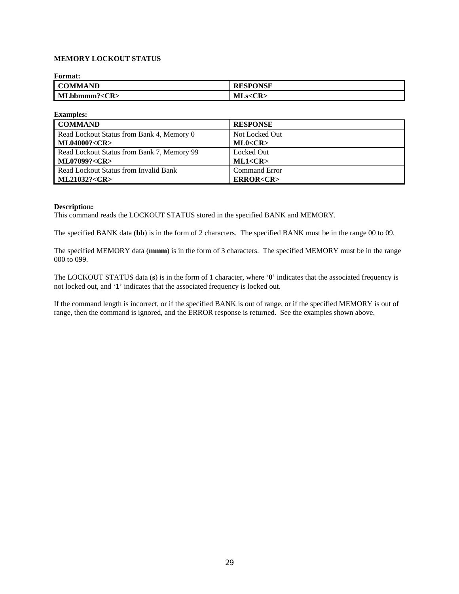# **MEMORY LOCKOUT STATUS**

| <b>Format:</b>       |                 |
|----------------------|-----------------|
| <b>COMMAND</b>       | <b>RESPONSE</b> |
| MLbbnmm? < <b>CR</b> | MLs < CR        |

| <b>Examples:</b>                           |                       |
|--------------------------------------------|-----------------------|
| <b>COMMAND</b>                             | <b>RESPONSE</b>       |
| Read Lockout Status from Bank 4, Memory 0  | Not Locked Out        |
| <b>ML04000?<cr></cr></b>                   | ML0 < CR              |
| Read Lockout Status from Bank 7, Memory 99 | Locked Out            |
| <b>ML07099?<cr></cr></b>                   | ML1 < CR              |
| Read Lockout Status from Invalid Bank      | <b>Command Error</b>  |
| <b>ML21032?<cr></cr></b>                   | <b>ERROR<cr></cr></b> |

#### **Description:**

This command reads the LOCKOUT STATUS stored in the specified BANK and MEMORY.

The specified BANK data (**bb**) is in the form of 2 characters. The specified BANK must be in the range 00 to 09.

The specified MEMORY data (**mmm**) is in the form of 3 characters. The specified MEMORY must be in the range 000 to 099.

The LOCKOUT STATUS data (**s**) is in the form of 1 character, where '**0**' indicates that the associated frequency is not locked out, and '**1**' indicates that the associated frequency is locked out.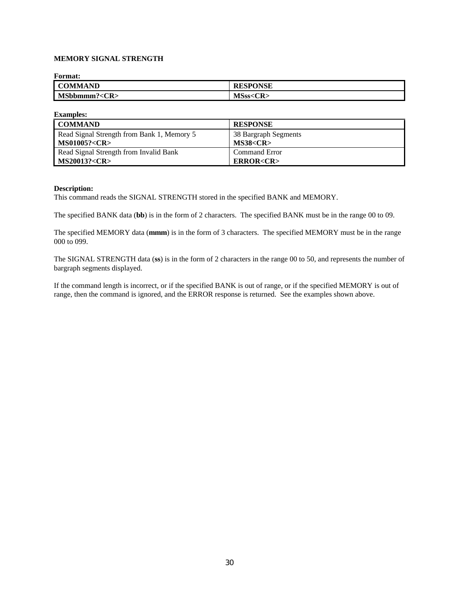# **MEMORY SIGNAL STRENGTH**

| <b>Format:</b>     |                 |
|--------------------|-----------------|
| <b>COMMAND</b>     | <b>RESPONSE</b> |
| MSbbmmm? <cr></cr> | MSss < CR       |

| <b>Examples:</b>                           |                       |
|--------------------------------------------|-----------------------|
| <b>COMMAND</b>                             | <b>RESPONSE</b>       |
| Read Signal Strength from Bank 1, Memory 5 | 38 Bargraph Segments  |
| <b>MS01005?<cr></cr></b>                   | MS38 < CR             |
| Read Signal Strength from Invalid Bank     | <b>Command Error</b>  |
| <b>MS20013?<cr></cr></b>                   | <b>ERROR<cr></cr></b> |

#### **Description:**

This command reads the SIGNAL STRENGTH stored in the specified BANK and MEMORY.

The specified BANK data (**bb**) is in the form of 2 characters. The specified BANK must be in the range 00 to 09.

The specified MEMORY data (**mmm**) is in the form of 3 characters. The specified MEMORY must be in the range 000 to 099.

The SIGNAL STRENGTH data (**ss**) is in the form of 2 characters in the range 00 to 50, and represents the number of bargraph segments displayed.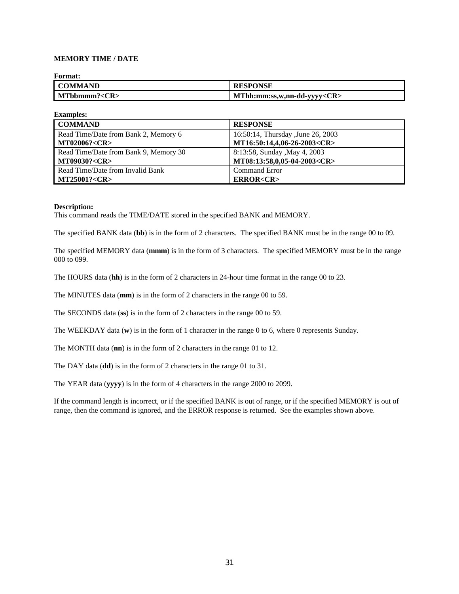## **MEMORY TIME / DATE**

| <b>Format:</b> |                                   |
|----------------|-----------------------------------|
| <b>COMMAND</b> | <b>RESPONSE</b>                   |
| MTbbmmm? < CR  | MThh:mm:ss,w,nn-dd-yyyy <cr></cr> |

| <b>Examples:</b>                      |                                    |
|---------------------------------------|------------------------------------|
| <b>COMMAND</b>                        | <b>RESPONSE</b>                    |
| Read Time/Date from Bank 2, Memory 6  | 16:50:14, Thursday , June 26, 2003 |
| <b>MT02006?<cr></cr></b>              | MT16:50:14,4,06-26-2003 <cr></cr>  |
| Read Time/Date from Bank 9, Memory 30 | 8:13:58, Sunday , May 4, 2003      |
| <b>MT09030?<cr></cr></b>              | MT08:13:58,0,05-04-2003 <cr></cr>  |
| Read Time/Date from Invalid Bank      | <b>Command Error</b>               |
| <b>MT25001?<cr></cr></b>              | <b>ERROR<cr></cr></b>              |

#### **Description:**

This command reads the TIME/DATE stored in the specified BANK and MEMORY.

The specified BANK data (**bb**) is in the form of 2 characters. The specified BANK must be in the range 00 to 09.

The specified MEMORY data (**mmm**) is in the form of 3 characters. The specified MEMORY must be in the range 000 to 099.

The HOURS data (**hh**) is in the form of 2 characters in 24-hour time format in the range 00 to 23.

The MINUTES data (**mm**) is in the form of 2 characters in the range 00 to 59.

The SECONDS data (**ss**) is in the form of 2 characters in the range 00 to 59.

The WEEKDAY data (**w**) is in the form of 1 character in the range 0 to 6, where 0 represents Sunday.

The MONTH data (**nn**) is in the form of 2 characters in the range 01 to 12.

The DAY data (**dd**) is in the form of 2 characters in the range 01 to 31.

The YEAR data (**yyyy**) is in the form of 4 characters in the range 2000 to 2099.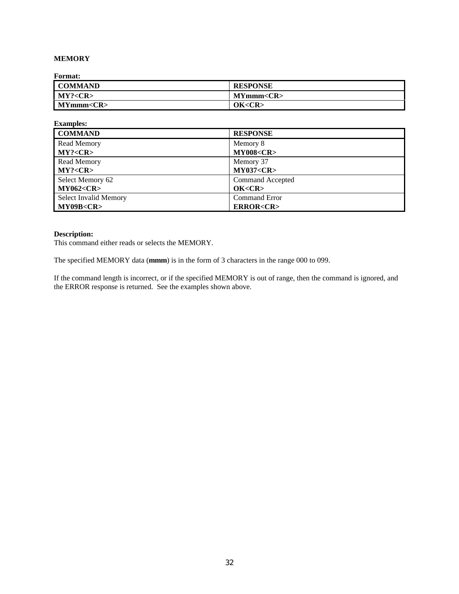# **MEMORY**

**Format:**

| <b>COMMAND</b>  | <b>RESPONSE</b>  |
|-----------------|------------------|
| MY? < CR        | MYmm < <b>CR</b> |
| MYmmm <cr></cr> | OK <cr></cr>     |

| <b>Examples:</b>             |                       |
|------------------------------|-----------------------|
| <b>COMMAND</b>               | <b>RESPONSE</b>       |
| Read Memory                  | Memory 8              |
| MY? < CR                     | <b>MY008<cr></cr></b> |
| <b>Read Memory</b>           | Memory 37             |
| MY? < CR                     | <b>MY037<cr></cr></b> |
| Select Memory 62             | Command Accepted      |
| <b>MY062<cr></cr></b>        | OK < CR               |
| <b>Select Invalid Memory</b> | <b>Command Error</b>  |
| MY09B <cr></cr>              | <b>ERROR<cr></cr></b> |

# **Description:**

This command either reads or selects the MEMORY.

The specified MEMORY data (**mmm**) is in the form of 3 characters in the range 000 to 099.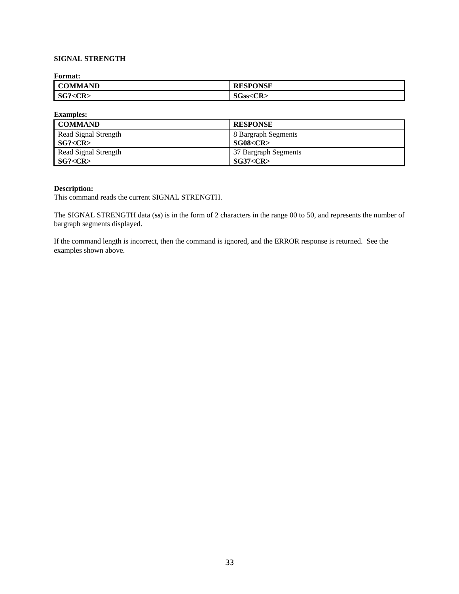# **SIGNAL STRENGTH**

**Format:**

| <b>COMMAND</b>             | <b>ESPONSE</b>     |
|----------------------------|--------------------|
| SG?<br>$\mathbf{R}$<br>้∕เ | SGss<<br><cr></cr> |

**Examples:**

| <b>COMMAND</b>       | <b>RESPONSE</b>      |
|----------------------|----------------------|
| Read Signal Strength | 8 Bargraph Segments  |
| SG? < CR             | SG08 < CR            |
| Read Signal Strength | 37 Bargraph Segments |
| SG? < CR             | SG37 < CR            |

### **Description:**

This command reads the current SIGNAL STRENGTH.

The SIGNAL STRENGTH data (**ss**) is in the form of 2 characters in the range 00 to 50, and represents the number of bargraph segments displayed.

If the command length is incorrect, then the command is ignored, and the ERROR response is returned. See the examples shown above.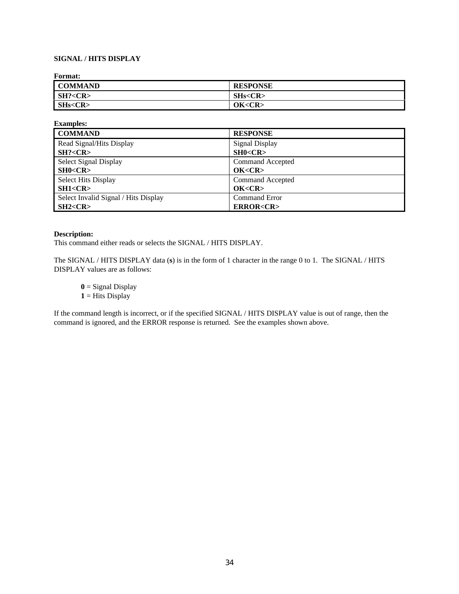# **SIGNAL / HITS DISPLAY**

**Format:**

| _ _ _ _ _ _ _ _ _ _ |                 |
|---------------------|-----------------|
| <b>COMMAND</b>      | <b>RESPONSE</b> |
| SH? < CR            | SHs < CR        |
| SHs < CR            | OK < CR         |

| <b>Examples:</b>                     |                       |
|--------------------------------------|-----------------------|
| <b>COMMAND</b>                       | <b>RESPONSE</b>       |
| Read Signal/Hits Display             | <b>Signal Display</b> |
| SH? < CR                             | SH0 < CR              |
| Select Signal Display                | Command Accepted      |
| SH0 < CR                             | OK < CR               |
| <b>Select Hits Display</b>           | Command Accepted      |
| SH1 < CR                             | OK < CR               |
| Select Invalid Signal / Hits Display | Command Error         |
| SH2 < CR                             | <b>ERROR<cr></cr></b> |

#### **Description:**

This command either reads or selects the SIGNAL / HITS DISPLAY.

The SIGNAL / HITS DISPLAY data (**s**) is in the form of 1 character in the range 0 to 1. The SIGNAL / HITS DISPLAY values are as follows:

**0** = Signal Display

 $1 =$  Hits Display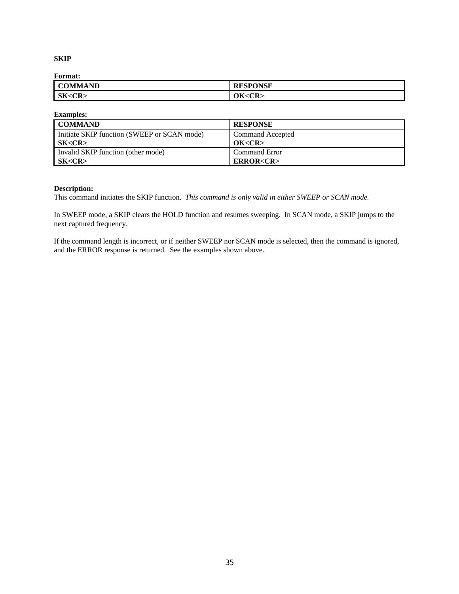## **SKIP**

**Format:**

| ---------      |                 |
|----------------|-----------------|
| <b>COMMAND</b> | <b>RESPONSE</b> |
| SK < CR        | JK <cr></cr>    |

| <b>Examples:</b>                            |                       |
|---------------------------------------------|-----------------------|
| <b>COMMAND</b>                              | <b>RESPONSE</b>       |
| Initiate SKIP function (SWEEP or SCAN mode) | Command Accepted      |
| SK <cr></cr>                                | OK <cr></cr>          |
| Invalid SKIP function (other mode)          | <b>Command Error</b>  |
| SK <cr></cr>                                | <b>ERROR<cr></cr></b> |

# **Description:**

This command initiates the SKIP function. *This command is only valid in either SWEEP or SCAN mode.*

In SWEEP mode, a SKIP clears the HOLD function and resumes sweeping. In SCAN mode, a SKIP jumps to the next captured frequency.

If the command length is incorrect, or if neither SWEEP nor SCAN mode is selected, then the command is ignored, and the ERROR response is returned. See the examples shown above.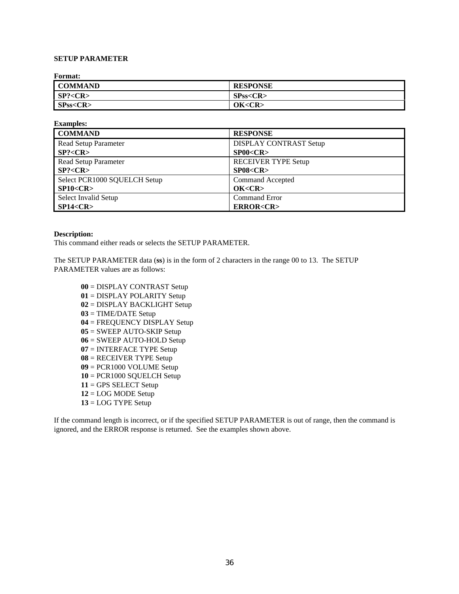# **SETUP PARAMETER**

**Format:**

| _ _ _ _ _ _ _ _ _ _ |                 |
|---------------------|-----------------|
| <b>COMMAND</b>      | <b>RESPONSE</b> |
| SP? < CR            | SPss < CR       |
| SPss < CR           | OK <cr></cr>    |

| <b>Examples:</b>             |                            |
|------------------------------|----------------------------|
| <b>COMMAND</b>               | <b>RESPONSE</b>            |
| <b>Read Setup Parameter</b>  | DISPLAY CONTRAST Setup     |
| SP? < CR                     | SP00 < CR                  |
| <b>Read Setup Parameter</b>  | <b>RECEIVER TYPE Setup</b> |
| SP? < CR                     | SP08 < CR                  |
| Select PCR1000 SQUELCH Setup | Command Accepted           |
| SP10 < CR                    | OK < CR                    |
| Select Invalid Setup         | Command Error              |
| SP14 < CR                    | <b>ERROR<cr></cr></b>      |

#### **Description:**

This command either reads or selects the SETUP PARAMETER.

The SETUP PARAMETER data (**ss**) is in the form of 2 characters in the range 00 to 13. The SETUP PARAMETER values are as follows:

 = DISPLAY CONTRAST Setup = DISPLAY POLARITY Setup = DISPLAY BACKLIGHT Setup = TIME/DATE Setup = FREQUENCY DISPLAY Setup = SWEEP AUTO-SKIP Setup = SWEEP AUTO-HOLD Setup = INTERFACE TYPE Setup = RECEIVER TYPE Setup = PCR1000 VOLUME Setup = PCR1000 SQUELCH Setup = GPS SELECT Setup = LOG MODE Setup = LOG TYPE Setup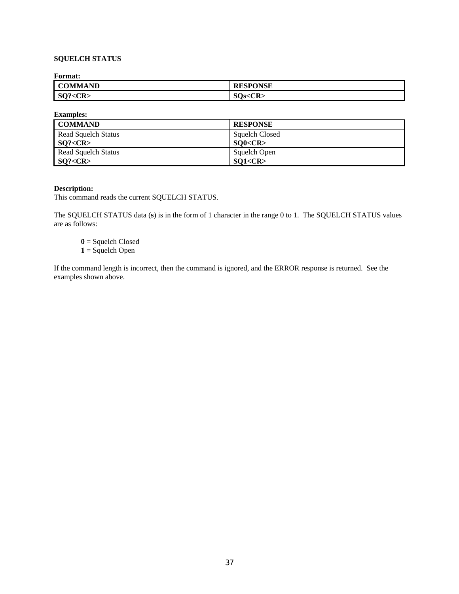## **SQUELCH STATUS**

**Format:**

| ------------      |                   |
|-------------------|-------------------|
| <b>COMMAND</b>    | <b>ONSE</b>       |
| $<$ CR:<br>$SO$ ? | $\Omega$<br>- IC. |

**Examples:**

| <b>COMMAND</b>             | <b>RESPONSE</b>       |
|----------------------------|-----------------------|
| <b>Read Squelch Status</b> | <b>Squelch Closed</b> |
| SO? < CR                   | SO0 < CR              |
| Read Squelch Status        | Squelch Open          |
| SO? < CR                   | SO1 < CR              |

### **Description:**

This command reads the current SQUELCH STATUS.

The SQUELCH STATUS data (**s**) is in the form of 1 character in the range 0 to 1. The SQUELCH STATUS values are as follows:

**0** = Squelch Closed **1** = Squelch Open

If the command length is incorrect, then the command is ignored, and the ERROR response is returned. See the examples shown above.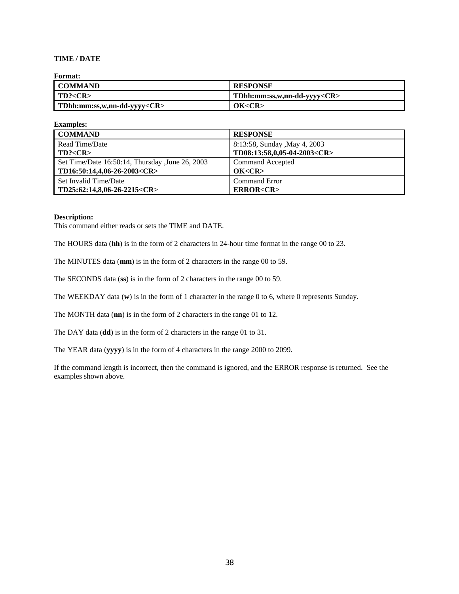## **TIME / DATE**

### **Format:**

| I COMMAND                         | <b>RESPONSE</b>                   |
|-----------------------------------|-----------------------------------|
| 1 T D? < CR>                      | TDhh:mm:ss,w,nn-dd-yyyy <cr></cr> |
| TDhh:mm:ss,w,nn-dd-yyyy <cr></cr> | OK <cr></cr>                      |

| <b>Examples:</b>                                |                                   |
|-------------------------------------------------|-----------------------------------|
| <b>COMMAND</b>                                  | <b>RESPONSE</b>                   |
| Read Time/Date                                  | 8:13:58, Sunday , May 4, 2003     |
| TD? < CR                                        | TD08:13:58,0,05-04-2003 <cr></cr> |
| Set Time/Date 16:50:14, Thursday, June 26, 2003 | Command Accepted                  |
| TD16:50:14,4,06-26-2003 <cr></cr>               | OK < CR                           |
| Set Invalid Time/Date                           | <b>Command Error</b>              |
| $TD25:62:14,8,06-26-2215 < CR$                  | <b>ERROR<cr></cr></b>             |

#### **Description:**

This command either reads or sets the TIME and DATE.

The HOURS data (**hh**) is in the form of 2 characters in 24-hour time format in the range 00 to 23.

The MINUTES data (**mm**) is in the form of 2 characters in the range 00 to 59.

The SECONDS data (**ss**) is in the form of 2 characters in the range 00 to 59.

The WEEKDAY data (**w**) is in the form of 1 character in the range 0 to 6, where 0 represents Sunday.

The MONTH data (**nn**) is in the form of 2 characters in the range 01 to 12.

The DAY data (**dd**) is in the form of 2 characters in the range 01 to 31.

The YEAR data (**yyyy**) is in the form of 4 characters in the range 2000 to 2099.

If the command length is incorrect, then the command is ignored, and the ERROR response is returned. See the examples shown above.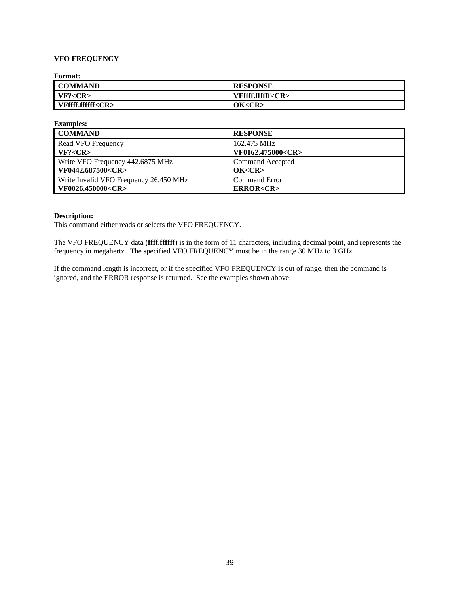### **VFO FREQUENCY**

**Format:**

| - - - - - - - - - -     |                         |
|-------------------------|-------------------------|
| <b>COMMAND</b>          | <b>RESPONSE</b>         |
| VF? < CR                | VFffff.ffffff <cr></cr> |
| VFffff.ffffff <cr></cr> | OK < CR                 |

| <b>Examples:</b>                       |                         |
|----------------------------------------|-------------------------|
| <b>COMMAND</b>                         | <b>RESPONSE</b>         |
| Read VFO Frequency                     | 162.475 MHz             |
| VF? < CR                               | VF0162.475000 <cr></cr> |
| Write VFO Frequency 442.6875 MHz       | Command Accepted        |
| VF0442.687500 <cr></cr>                | OK < CR                 |
| Write Invalid VFO Frequency 26.450 MHz | Command Error           |
| VF0026.450000 <cr></cr>                | <b>ERROR<cr></cr></b>   |

### **Description:**

This command either reads or selects the VFO FREQUENCY.

The VFO FREQUENCY data (**ffff.ffffff**) is in the form of 11 characters, including decimal point, and represents the frequency in megahertz. The specified VFO FREQUENCY must be in the range 30 MHz to 3 GHz.